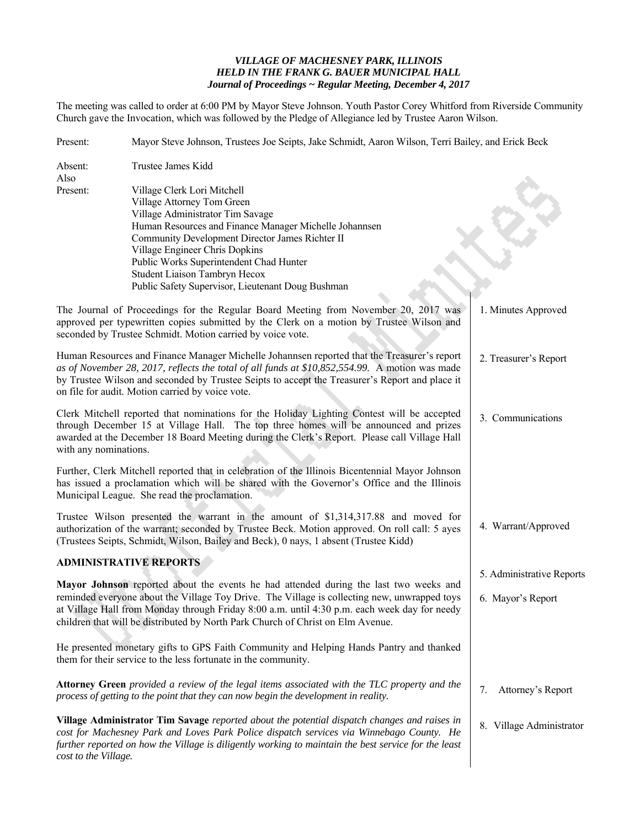## *VILLAGE OF MACHESNEY PARK, ILLINOIS HELD IN THE FRANK G. BAUER MUNICIPAL HALL Journal of Proceedings ~ Regular Meeting, December 4, 2017*

The meeting was called to order at 6:00 PM by Mayor Steve Johnson. Youth Pastor Corey Whitford from Riverside Community Church gave the Invocation, which was followed by the Pledge of Allegiance led by Trustee Aaron Wilson.

| Present:                                                                                                                                                                                                                                      | Mayor Steve Johnson, Trustees Joe Seipts, Jake Schmidt, Aaron Wilson, Terri Bailey, and Erick Beck                                                                                                                                                                                                                                                                            |                                                |  |
|-----------------------------------------------------------------------------------------------------------------------------------------------------------------------------------------------------------------------------------------------|-------------------------------------------------------------------------------------------------------------------------------------------------------------------------------------------------------------------------------------------------------------------------------------------------------------------------------------------------------------------------------|------------------------------------------------|--|
| Absent:<br>Also                                                                                                                                                                                                                               | Trustee James Kidd                                                                                                                                                                                                                                                                                                                                                            |                                                |  |
| Present:                                                                                                                                                                                                                                      | Village Clerk Lori Mitchell<br>Village Attorney Tom Green<br>Village Administrator Tim Savage<br>Human Resources and Finance Manager Michelle Johannsen<br>Community Development Director James Richter II<br>Village Engineer Chris Dopkins<br>Public Works Superintendent Chad Hunter<br>Student Liaison Tambryn Hecox<br>Public Safety Supervisor, Lieutenant Doug Bushman |                                                |  |
| The Journal of Proceedings for the Regular Board Meeting from November 20, 2017 was<br>approved per typewritten copies submitted by the Clerk on a motion by Trustee Wilson and<br>seconded by Trustee Schmidt. Motion carried by voice vote. | 1. Minutes Approved                                                                                                                                                                                                                                                                                                                                                           |                                                |  |
|                                                                                                                                                                                                                                               | Human Resources and Finance Manager Michelle Johannsen reported that the Treasurer's report<br>as of November 28, 2017, reflects the total of all funds at \$10,852,554.99. A motion was made<br>by Trustee Wilson and seconded by Trustee Seipts to accept the Treasurer's Report and place it<br>on file for audit. Motion carried by voice vote.                           | 2. Treasurer's Report                          |  |
| with any nominations.                                                                                                                                                                                                                         | Clerk Mitchell reported that nominations for the Holiday Lighting Contest will be accepted<br>through December 15 at Village Hall. The top three homes will be announced and prizes<br>awarded at the December 18 Board Meeting during the Clerk's Report. Please call Village Hall                                                                                           | 3. Communications                              |  |
|                                                                                                                                                                                                                                               | Further, Clerk Mitchell reported that in celebration of the Illinois Bicentennial Mayor Johnson<br>has issued a proclamation which will be shared with the Governor's Office and the Illinois<br>Municipal League. She read the proclamation.                                                                                                                                 |                                                |  |
|                                                                                                                                                                                                                                               | Trustee Wilson presented the warrant in the amount of \$1,314,317.88 and moved for<br>authorization of the warrant; seconded by Trustee Beck. Motion approved. On roll call: 5 ayes<br>(Trustees Seipts, Schmidt, Wilson, Bailey and Beck), 0 nays, 1 absent (Trustee Kidd)                                                                                                   | 4. Warrant/Approved                            |  |
|                                                                                                                                                                                                                                               | <b>ADMINISTRATIVE REPORTS</b>                                                                                                                                                                                                                                                                                                                                                 |                                                |  |
|                                                                                                                                                                                                                                               | Mayor Johnson reported about the events he had attended during the last two weeks and<br>reminded everyone about the Village Toy Drive. The Village is collecting new, unwrapped toys<br>at Village Hall from Monday through Friday 8:00 a.m. until 4:30 p.m. each week day for needy<br>children that will be distributed by North Park Church of Christ on Elm Avenue.      | 5. Administrative Reports<br>6. Mayor's Report |  |
|                                                                                                                                                                                                                                               | He presented monetary gifts to GPS Faith Community and Helping Hands Pantry and thanked<br>them for their service to the less fortunate in the community.                                                                                                                                                                                                                     |                                                |  |
|                                                                                                                                                                                                                                               | Attorney Green provided a review of the legal items associated with the TLC property and the<br>process of getting to the point that they can now begin the development in reality.                                                                                                                                                                                           | Attorney's Report<br>7.                        |  |
| cost to the Village.                                                                                                                                                                                                                          | Village Administrator Tim Savage reported about the potential dispatch changes and raises in<br>cost for Machesney Park and Loves Park Police dispatch services via Winnebago County. He<br>further reported on how the Village is diligently working to maintain the best service for the least                                                                              | 8. Village Administrator                       |  |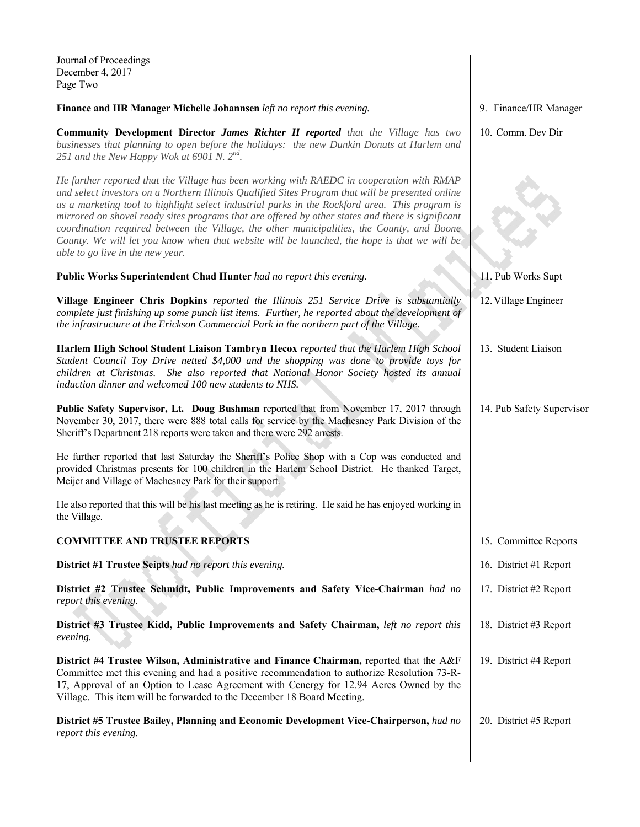| Journal of Proceedings<br>December 4, 2017<br>Page Two                                                                                                                                                                                                                                                                                                                                                                                                                                                                                                                                                                                  |                           |
|-----------------------------------------------------------------------------------------------------------------------------------------------------------------------------------------------------------------------------------------------------------------------------------------------------------------------------------------------------------------------------------------------------------------------------------------------------------------------------------------------------------------------------------------------------------------------------------------------------------------------------------------|---------------------------|
| Finance and HR Manager Michelle Johannsen left no report this evening.                                                                                                                                                                                                                                                                                                                                                                                                                                                                                                                                                                  | 9. Finance/HR Manager     |
| <b>Community Development Director James Richter II reported</b> that the Village has two<br>businesses that planning to open before the holidays: the new Dunkin Donuts at Harlem and<br>251 and the New Happy Wok at 6901 N. $2^{nd}$ .                                                                                                                                                                                                                                                                                                                                                                                                | 10. Comm. Dev Dir         |
| He further reported that the Village has been working with RAEDC in cooperation with RMAP<br>and select investors on a Northern Illinois Qualified Sites Program that will be presented online<br>as a marketing tool to highlight select industrial parks in the Rockford area. This program is<br>mirrored on shovel ready sites programs that are offered by other states and there is significant<br>coordination required between the Village, the other municipalities, the County, and Boone<br>County. We will let you know when that website will be launched, the hope is that we will be<br>able to go live in the new year. |                           |
| Public Works Superintendent Chad Hunter had no report this evening.                                                                                                                                                                                                                                                                                                                                                                                                                                                                                                                                                                     | 11. Pub Works Supt        |
| Village Engineer Chris Dopkins reported the Illinois 251 Service Drive is substantially<br>complete just finishing up some punch list items. Further, he reported about the development of<br>the infrastructure at the Erickson Commercial Park in the northern part of the Village.                                                                                                                                                                                                                                                                                                                                                   | 12. Village Engineer      |
| Harlem High School Student Liaison Tambryn Hecox reported that the Harlem High School<br>Student Council Toy Drive netted \$4,000 and the shopping was done to provide toys for<br>children at Christmas. She also reported that National Honor Society hosted its annual<br>induction dinner and welcomed 100 new students to NHS.                                                                                                                                                                                                                                                                                                     | 13. Student Liaison       |
| Public Safety Supervisor, Lt. Doug Bushman reported that from November 17, 2017 through<br>November 30, 2017, there were 888 total calls for service by the Machesney Park Division of the<br>Sheriff's Department 218 reports were taken and there were 292 arrests.                                                                                                                                                                                                                                                                                                                                                                   | 14. Pub Safety Supervisor |
| He further reported that last Saturday the Sheriff's Police Shop with a Cop was conducted and<br>provided Christmas presents for 100 children in the Harlem School District. He thanked Target,<br>Meijer and Village of Machesney Park for their support.                                                                                                                                                                                                                                                                                                                                                                              |                           |
| He also reported that this will be his last meeting as he is retiring. He said he has enjoyed working in<br>the Village.                                                                                                                                                                                                                                                                                                                                                                                                                                                                                                                |                           |
| <b>COMMITTEE AND TRUSTEE REPORTS</b>                                                                                                                                                                                                                                                                                                                                                                                                                                                                                                                                                                                                    | 15. Committee Reports     |
| District #1 Trustee Seipts had no report this evening.                                                                                                                                                                                                                                                                                                                                                                                                                                                                                                                                                                                  | 16. District #1 Report    |
| District #2 Trustee Schmidt, Public Improvements and Safety Vice-Chairman had no<br>report this evening.                                                                                                                                                                                                                                                                                                                                                                                                                                                                                                                                | 17. District #2 Report    |
| District #3 Trustee Kidd, Public Improvements and Safety Chairman, <i>left no report this</i><br>evening.                                                                                                                                                                                                                                                                                                                                                                                                                                                                                                                               | 18. District #3 Report    |
| District #4 Trustee Wilson, Administrative and Finance Chairman, reported that the A&F<br>Committee met this evening and had a positive recommendation to authorize Resolution 73-R-<br>17, Approval of an Option to Lease Agreement with Cenergy for 12.94 Acres Owned by the<br>Village. This item will be forwarded to the December 18 Board Meeting.                                                                                                                                                                                                                                                                                | 19. District #4 Report    |
| District #5 Trustee Bailey, Planning and Economic Development Vice-Chairperson, had no<br>report this evening.                                                                                                                                                                                                                                                                                                                                                                                                                                                                                                                          | 20. District #5 Report    |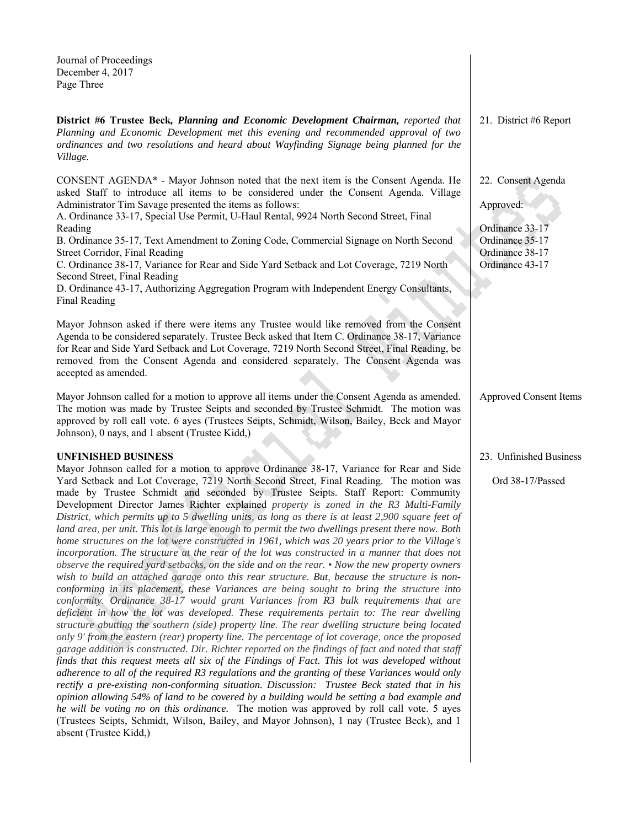| Journal of Proceedings<br>December 4, 2017<br>Page Three                                                                                                                                                                                                                                                                                                                                                                                                                                                                                                                                                                                                                                                                                                                                                                                                                                                                                                                                                                                                                                                                                                                  |                                                                                                             |
|---------------------------------------------------------------------------------------------------------------------------------------------------------------------------------------------------------------------------------------------------------------------------------------------------------------------------------------------------------------------------------------------------------------------------------------------------------------------------------------------------------------------------------------------------------------------------------------------------------------------------------------------------------------------------------------------------------------------------------------------------------------------------------------------------------------------------------------------------------------------------------------------------------------------------------------------------------------------------------------------------------------------------------------------------------------------------------------------------------------------------------------------------------------------------|-------------------------------------------------------------------------------------------------------------|
| District #6 Trustee Beck, Planning and Economic Development Chairman, reported that<br>Planning and Economic Development met this evening and recommended approval of two<br>ordinances and two resolutions and heard about Wayfinding Signage being planned for the<br>Village.                                                                                                                                                                                                                                                                                                                                                                                                                                                                                                                                                                                                                                                                                                                                                                                                                                                                                          | 21. District #6 Report                                                                                      |
| CONSENT AGENDA* - Mayor Johnson noted that the next item is the Consent Agenda. He<br>asked Staff to introduce all items to be considered under the Consent Agenda. Village<br>Administrator Tim Savage presented the items as follows:<br>A. Ordinance 33-17, Special Use Permit, U-Haul Rental, 9924 North Second Street, Final<br>Reading<br>B. Ordinance 35-17, Text Amendment to Zoning Code, Commercial Signage on North Second<br>Street Corridor, Final Reading<br>C. Ordinance 38-17, Variance for Rear and Side Yard Setback and Lot Coverage, 7219 North<br>Second Street, Final Reading<br>D. Ordinance 43-17, Authorizing Aggregation Program with Independent Energy Consultants,<br>Final Reading<br>Mayor Johnson asked if there were items any Trustee would like removed from the Consent                                                                                                                                                                                                                                                                                                                                                               | 22. Consent Agenda<br>Approved:<br>Ordinance 33-17<br>Ordinance 35-17<br>Ordinance 38-17<br>Ordinance 43-17 |
| Agenda to be considered separately. Trustee Beck asked that Item C. Ordinance 38-17, Variance<br>for Rear and Side Yard Setback and Lot Coverage, 7219 North Second Street, Final Reading, be<br>removed from the Consent Agenda and considered separately. The Consent Agenda was<br>accepted as amended.                                                                                                                                                                                                                                                                                                                                                                                                                                                                                                                                                                                                                                                                                                                                                                                                                                                                |                                                                                                             |
| Mayor Johnson called for a motion to approve all items under the Consent Agenda as amended.<br>The motion was made by Trustee Seipts and seconded by Trustee Schmidt. The motion was<br>approved by roll call vote. 6 ayes (Trustees Seipts, Schmidt, Wilson, Bailey, Beck and Mayor<br>Johnson), 0 nays, and 1 absent (Trustee Kidd,)                                                                                                                                                                                                                                                                                                                                                                                                                                                                                                                                                                                                                                                                                                                                                                                                                                    | <b>Approved Consent Items</b>                                                                               |
| <b>UNFINISHED BUSINESS</b>                                                                                                                                                                                                                                                                                                                                                                                                                                                                                                                                                                                                                                                                                                                                                                                                                                                                                                                                                                                                                                                                                                                                                | 23. Unfinished Business                                                                                     |
| Mayor Johnson called for a motion to approve Ordinance 38-17, Variance for Rear and Side<br>Yard Setback and Lot Coverage, 7219 North Second Street, Final Reading. The motion was<br>made by Trustee Schmidt and seconded by Trustee Seipts. Staff Report: Community<br>Development Director James Richter explained property is zoned in the R3 Multi-Family<br>District, which permits up to 5 dwelling units, as long as there is at least 2,900 square feet of<br>land area, per unit. This lot is large enough to permit the two dwellings present there now. Both<br>home structures on the lot were constructed in 1961, which was 20 years prior to the Village's<br>incorporation. The structure at the rear of the lot was constructed in a manner that does not<br>observe the required yard setbacks, on the side and on the rear. $\cdot$ Now the new property owners<br>wish to build an attached garage onto this rear structure. But, because the structure is non-<br>conforming in its placement, these Variances are being sought to bring the structure into<br>conformity. Ordinance 38-17 would grant Variances from R3 bulk requirements that are | Ord 38-17/Passed                                                                                            |

*deficient in how the lot was developed. These requirements pertain to: The rear dwelling structure abutting the southern (side) property line. The rear dwelling structure being located only 9' from the eastern (rear) property line. The percentage of lot coverage, once the proposed garage addition is constructed. Dir. Richter reported on the findings of fact and noted that staff finds that this request meets all six of the Findings of Fact. This lot was developed without adherence to all of the required R3 regulations and the granting of these Variances would only rectify a pre-existing non-conforming situation. Discussion: Trustee Beck stated that in his opinion allowing 54% of land to be covered by a building would be setting a bad example and he will be voting no on this ordinance.* The motion was approved by roll call vote. 5 ayes (Trustees Seipts, Schmidt, Wilson, Bailey, and Mayor Johnson), 1 nay (Trustee Beck), and 1 absent (Trustee Kidd,)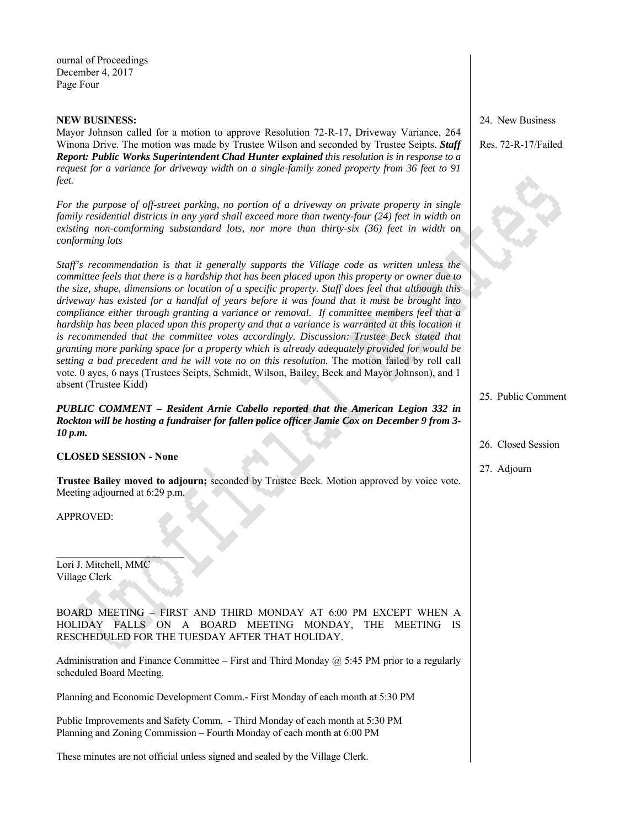ournal of Proceedings December 4, 2017 Page Four

## **NEW BUSINESS:**

Mayor Johnson called for a motion to approve Resolution 72-R-17, Driveway Variance, 264 Winona Drive. The motion was made by Trustee Wilson and seconded by Trustee Seipts. *Staff Report: Public Works Superintendent Chad Hunter explained this resolution is in response to a request for a variance for driveway width on a single-family zoned property from 36 feet to 91 feet.* 

*For the purpose of off-street parking, no portion of a driveway on private property in single family residential districts in any yard shall exceed more than twenty-four (24) feet in width on existing non-comforming substandard lots, nor more than thirty-six (36) feet in width on conforming lots* 

*Staff's recommendation is that it generally supports the Village code as written unless the committee feels that there is a hardship that has been placed upon this property or owner due to the size, shape, dimensions or location of a specific property. Staff does feel that although this driveway has existed for a handful of years before it was found that it must be brought into compliance either through granting a variance or removal. If committee members feel that a hardship has been placed upon this property and that a variance is warranted at this location it* is recommended that the committee votes accordingly. Discussion: Trustee Beck stated that *granting more parking space for a property which is already adequately provided for would be setting a bad precedent and he will vote no on this resolution.* The motion failed by roll call vote. 0 ayes, 6 nays (Trustees Seipts, Schmidt, Wilson, Bailey, Beck and Mayor Johnson), and 1 absent (Trustee Kidd)

*PUBLIC COMMENT – Resident Arnie Cabello reported that the American Legion 332 in Rockton will be hosting a fundraiser for fallen police officer Jamie Cox on December 9 from 3- 10 p.m.* 

## **CLOSED SESSION - None**

**Trustee Bailey moved to adjourn;** seconded by Trustee Beck. Motion approved by voice vote. Meeting adjourned at 6:29 p.m.

APPROVED:

Lori J. Mitchell, MMC Village Clerk

 $\mathcal{L}_\text{max}$ 

BOARD MEETING – FIRST AND THIRD MONDAY AT 6:00 PM EXCEPT WHEN A HOLIDAY FALLS ON A BOARD MEETING MONDAY, THE MEETING IS RESCHEDULED FOR THE TUESDAY AFTER THAT HOLIDAY.

Administration and Finance Committee – First and Third Monday  $\omega$  5:45 PM prior to a regularly scheduled Board Meeting.

Planning and Economic Development Comm.- First Monday of each month at 5:30 PM

Public Improvements and Safety Comm. - Third Monday of each month at 5:30 PM Planning and Zoning Commission – Fourth Monday of each month at 6:00 PM

These minutes are not official unless signed and sealed by the Village Clerk.

24. New Business

Res. 72-R-17/Failed

25. Public Comment

- 26. Closed Session
- 27. Adjourn